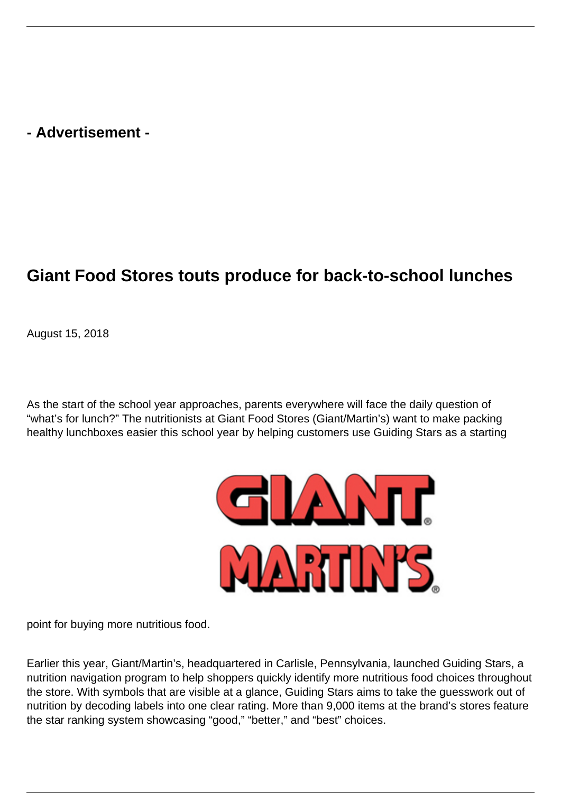**- Advertisement -**

## **Giant Food Stores touts produce for back-to-school lunches**

August 15, 2018

As the start of the school year approaches, parents everywhere will face the daily question of "what's for lunch?" The nutritionists at Giant Food Stores (Giant/Martin's) want to make packing healthy lunchboxes easier this school year by helping customers use Guiding Stars as a starting



point for buying more nutritious food.

Earlier this year, Giant/Martin's, headquartered in Carlisle, Pennsylvania, launched Guiding Stars, a nutrition navigation program to help shoppers quickly identify more nutritious food choices throughout the store. With symbols that are visible at a glance, Guiding Stars aims to take the guesswork out of nutrition by decoding labels into one clear rating. More than 9,000 items at the brand's stores feature the star ranking system showcasing "good," "better," and "best" choices.